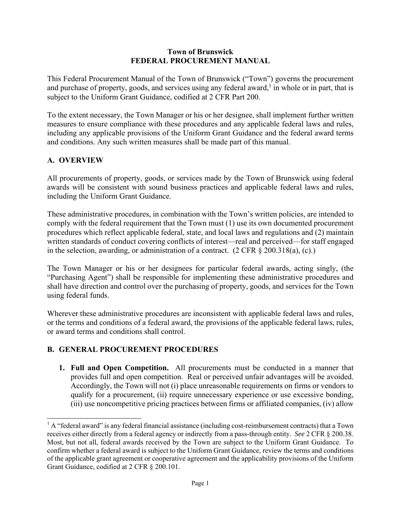#### **Town of Brunswick FEDERAL PROCUREMENT MANUAL**

This Federal Procurement Manual of the Town of Brunswick ("Town") governs the procurement and purchase of property, goods, and services using any federal award,<sup>1</sup> in whole or in part, that is subject to the Uniform Grant Guidance, codified at 2 CFR Part 200.

To the extent necessary, the Town Manager or his or her designee, shall implement further written measures to ensure compliance with these procedures and any applicable federal laws and rules, including any applicable provisions of the Uniform Grant Guidance and the federal award terms and conditions. Any such written measures shall be made part of this manual.

### **A. OVERVIEW**

 $\overline{a}$ 

All procurements of property, goods, or services made by the Town of Brunswick using federal awards will be consistent with sound business practices and applicable federal laws and rules, including the Uniform Grant Guidance.

These administrative procedures, in combination with the Town's written policies, are intended to comply with the federal requirement that the Town must (1) use its own documented procurement procedures which reflect applicable federal, state, and local laws and regulations and (2) maintain written standards of conduct covering conflicts of interest—real and perceived—for staff engaged in the selection, awarding, or administration of a contract.  $(2 \text{ CFR } \S 200.318(a), (c))$ 

The Town Manager or his or her designees for particular federal awards, acting singly, (the "Purchasing Agent") shall be responsible for implementing these administrative procedures and shall have direction and control over the purchasing of property, goods, and services for the Town using federal funds.

Wherever these administrative procedures are inconsistent with applicable federal laws and rules, or the terms and conditions of a federal award, the provisions of the applicable federal laws, rules, or award terms and conditions shall control.

#### **B. GENERAL PROCUREMENT PROCEDURES**

**1. Full and Open Competition.** All procurements must be conducted in a manner that provides full and open competition. Real or perceived unfair advantages will be avoided. Accordingly, the Town will not (i) place unreasonable requirements on firms or vendors to qualify for a procurement, (ii) require unnecessary experience or use excessive bonding, (iii) use noncompetitive pricing practices between firms or affiliated companies, (iv) allow

 $<sup>1</sup>$  A "federal award" is any federal financial assistance (including cost-reimbursement contracts) that a Town</sup> receives either directly from a federal agency or indirectly from a pass-through entity. *See* 2 CFR § 200.38. Most, but not all, federal awards received by the Town are subject to the Uniform Grant Guidance. To confirm whether a federal award is subject to the Uniform Grant Guidance, review the terms and conditions of the applicable grant agreement or cooperative agreement and the applicability provisions of the Uniform Grant Guidance, codified at 2 CFR § 200.101.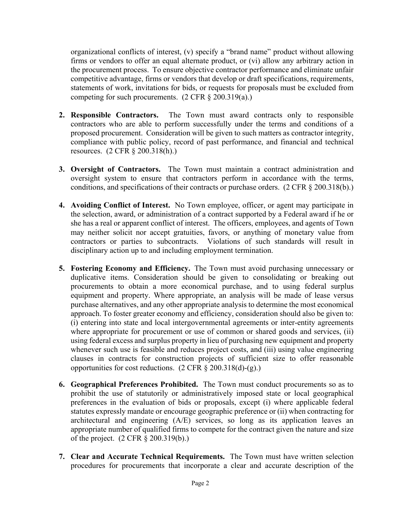organizational conflicts of interest, (v) specify a "brand name" product without allowing firms or vendors to offer an equal alternate product, or (vi) allow any arbitrary action in the procurement process. To ensure objective contractor performance and eliminate unfair competitive advantage, firms or vendors that develop or draft specifications, requirements, statements of work, invitations for bids, or requests for proposals must be excluded from competing for such procurements. (2 CFR § 200.319(a).)

- **2. Responsible Contractors.** The Town must award contracts only to responsible contractors who are able to perform successfully under the terms and conditions of a proposed procurement. Consideration will be given to such matters as contractor integrity, compliance with public policy, record of past performance, and financial and technical resources. (2 CFR § 200.318(h).)
- **3. Oversight of Contractors.** The Town must maintain a contract administration and oversight system to ensure that contractors perform in accordance with the terms, conditions, and specifications of their contracts or purchase orders. (2 CFR § 200.318(b).)
- **4. Avoiding Conflict of Interest.** No Town employee, officer, or agent may participate in the selection, award, or administration of a contract supported by a Federal award if he or she has a real or apparent conflict of interest. The officers, employees, and agents of Town may neither solicit nor accept gratuities, favors, or anything of monetary value from contractors or parties to subcontracts. Violations of such standards will result in disciplinary action up to and including employment termination.
- **5. Fostering Economy and Efficiency.** The Town must avoid purchasing unnecessary or duplicative items. Consideration should be given to consolidating or breaking out procurements to obtain a more economical purchase, and to using federal surplus equipment and property. Where appropriate, an analysis will be made of lease versus purchase alternatives, and any other appropriate analysis to determine the most economical approach. To foster greater economy and efficiency, consideration should also be given to: (i) entering into state and local intergovernmental agreements or inter-entity agreements where appropriate for procurement or use of common or shared goods and services, (ii) using federal excess and surplus property in lieu of purchasing new equipment and property whenever such use is feasible and reduces project costs, and (iii) using value engineering clauses in contracts for construction projects of sufficient size to offer reasonable opportunities for cost reductions.  $(2 \text{ CFR } \S 200.318(d)-(g))$ .
- **6. Geographical Preferences Prohibited.** The Town must conduct procurements so as to prohibit the use of statutorily or administratively imposed state or local geographical preferences in the evaluation of bids or proposals, except (i) where applicable federal statutes expressly mandate or encourage geographic preference or (ii) when contracting for architectural and engineering (A/E) services, so long as its application leaves an appropriate number of qualified firms to compete for the contract given the nature and size of the project. (2 CFR § 200.319(b).)
- **7. Clear and Accurate Technical Requirements.** The Town must have written selection procedures for procurements that incorporate a clear and accurate description of the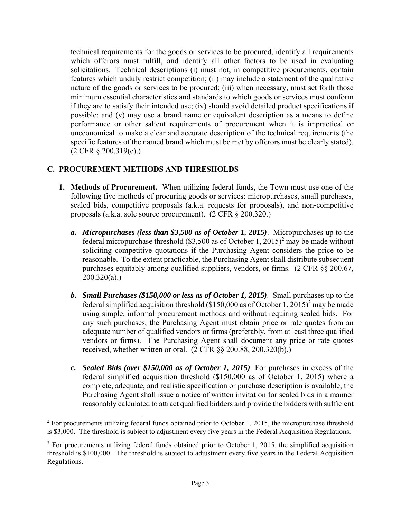technical requirements for the goods or services to be procured, identify all requirements which offerors must fulfill, and identify all other factors to be used in evaluating solicitations. Technical descriptions (i) must not, in competitive procurements, contain features which unduly restrict competition; (ii) may include a statement of the qualitative nature of the goods or services to be procured; (iii) when necessary, must set forth those minimum essential characteristics and standards to which goods or services must conform if they are to satisfy their intended use; (iv) should avoid detailed product specifications if possible; and (v) may use a brand name or equivalent description as a means to define performance or other salient requirements of procurement when it is impractical or uneconomical to make a clear and accurate description of the technical requirements (the specific features of the named brand which must be met by offerors must be clearly stated). (2 CFR § 200.319(c).)

# **C. PROCUREMENT METHODS AND THRESHOLDS**

 $\overline{a}$ 

- **1. Methods of Procurement.** When utilizing federal funds, the Town must use one of the following five methods of procuring goods or services: micropurchases, small purchases, sealed bids, competitive proposals (a.k.a. requests for proposals), and non-competitive proposals (a.k.a. sole source procurement). (2 CFR § 200.320.)
	- *a. Micropurchases (less than \$3,500 as of October 1, 2015)*. Micropurchases up to the federal micropurchase threshold  $(\$3,500$  as of October 1,  $2015)^2$  may be made without soliciting competitive quotations if the Purchasing Agent considers the price to be reasonable. To the extent practicable, the Purchasing Agent shall distribute subsequent purchases equitably among qualified suppliers, vendors, or firms. (2 CFR §§ 200.67,  $200.320(a)$ .)
	- *b. Small Purchases (\$150,000 or less as of October 1, 2015)*. Small purchases up to the federal simplified acquisition threshold  $(\$150,000$  as of October 1, 2015)<sup>3</sup> may be made using simple, informal procurement methods and without requiring sealed bids. For any such purchases, the Purchasing Agent must obtain price or rate quotes from an adequate number of qualified vendors or firms (preferably, from at least three qualified vendors or firms). The Purchasing Agent shall document any price or rate quotes received, whether written or oral. (2 CFR §§ 200.88, 200.320(b).)
	- *c. Sealed Bids (over \$150,000 as of October 1, 2015)*. For purchases in excess of the federal simplified acquisition threshold (\$150,000 as of October 1, 2015) where a complete, adequate, and realistic specification or purchase description is available, the Purchasing Agent shall issue a notice of written invitation for sealed bids in a manner reasonably calculated to attract qualified bidders and provide the bidders with sufficient

 $2^2$  For procurements utilizing federal funds obtained prior to October 1, 2015, the micropurchase threshold is \$3,000. The threshold is subject to adjustment every five years in the Federal Acquisition Regulations.

 $3$  For procurements utilizing federal funds obtained prior to October 1, 2015, the simplified acquisition threshold is \$100,000. The threshold is subject to adjustment every five years in the Federal Acquisition Regulations.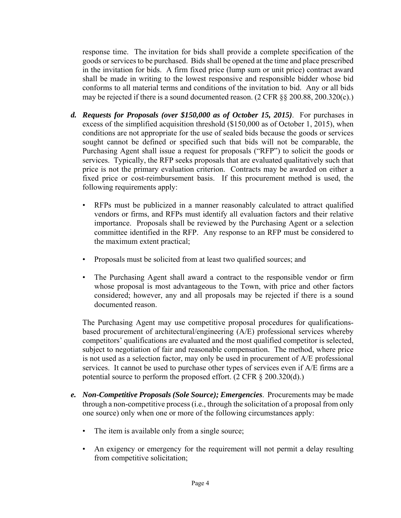response time. The invitation for bids shall provide a complete specification of the goods or services to be purchased. Bids shall be opened at the time and place prescribed in the invitation for bids. A firm fixed price (lump sum or unit price) contract award shall be made in writing to the lowest responsive and responsible bidder whose bid conforms to all material terms and conditions of the invitation to bid. Any or all bids may be rejected if there is a sound documented reason. (2 CFR §§ 200.88, 200.320(c).)

- *d. Requests for Proposals (over \$150,000 as of October 15, 2015)*. For purchases in excess of the simplified acquisition threshold (\$150,000 as of October 1, 2015), when conditions are not appropriate for the use of sealed bids because the goods or services sought cannot be defined or specified such that bids will not be comparable, the Purchasing Agent shall issue a request for proposals ("RFP") to solicit the goods or services. Typically, the RFP seeks proposals that are evaluated qualitatively such that price is not the primary evaluation criterion. Contracts may be awarded on either a fixed price or cost-reimbursement basis. If this procurement method is used, the following requirements apply:
	- RFPs must be publicized in a manner reasonably calculated to attract qualified vendors or firms, and RFPs must identify all evaluation factors and their relative importance. Proposals shall be reviewed by the Purchasing Agent or a selection committee identified in the RFP. Any response to an RFP must be considered to the maximum extent practical;
	- Proposals must be solicited from at least two qualified sources; and
	- The Purchasing Agent shall award a contract to the responsible vendor or firm whose proposal is most advantageous to the Town, with price and other factors considered; however, any and all proposals may be rejected if there is a sound documented reason.

The Purchasing Agent may use competitive proposal procedures for qualificationsbased procurement of architectural/engineering (A/E) professional services whereby competitors' qualifications are evaluated and the most qualified competitor is selected, subject to negotiation of fair and reasonable compensation. The method, where price is not used as a selection factor, may only be used in procurement of A/E professional services. It cannot be used to purchase other types of services even if A/E firms are a potential source to perform the proposed effort. (2 CFR § 200.320(d).)

- *e. Non-Competitive Proposals (Sole Source); Emergencies*. Procurements may be made through a non-competitive process (i.e., through the solicitation of a proposal from only one source) only when one or more of the following circumstances apply:
	- The item is available only from a single source;
	- An exigency or emergency for the requirement will not permit a delay resulting from competitive solicitation;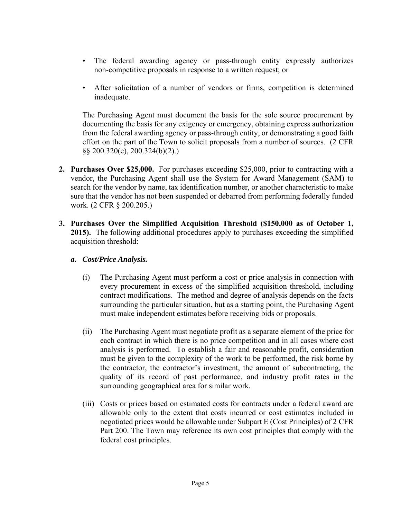- The federal awarding agency or pass-through entity expressly authorizes non-competitive proposals in response to a written request; or
- After solicitation of a number of vendors or firms, competition is determined inadequate.

The Purchasing Agent must document the basis for the sole source procurement by documenting the basis for any exigency or emergency, obtaining express authorization from the federal awarding agency or pass-through entity, or demonstrating a good faith effort on the part of the Town to solicit proposals from a number of sources. (2 CFR §§ 200.320(e), 200.324(b)(2).)

- **2. Purchases Over \$25,000.** For purchases exceeding \$25,000, prior to contracting with a vendor, the Purchasing Agent shall use the System for Award Management (SAM) to search for the vendor by name, tax identification number, or another characteristic to make sure that the vendor has not been suspended or debarred from performing federally funded work. (2 CFR § 200.205.)
- **3. Purchases Over the Simplified Acquisition Threshold (\$150,000 as of October 1, 2015).** The following additional procedures apply to purchases exceeding the simplified acquisition threshold:
	- *a. Cost/Price Analysis.* 
		- (i) The Purchasing Agent must perform a cost or price analysis in connection with every procurement in excess of the simplified acquisition threshold, including contract modifications. The method and degree of analysis depends on the facts surrounding the particular situation, but as a starting point, the Purchasing Agent must make independent estimates before receiving bids or proposals.
		- (ii) The Purchasing Agent must negotiate profit as a separate element of the price for each contract in which there is no price competition and in all cases where cost analysis is performed. To establish a fair and reasonable profit, consideration must be given to the complexity of the work to be performed, the risk borne by the contractor, the contractor's investment, the amount of subcontracting, the quality of its record of past performance, and industry profit rates in the surrounding geographical area for similar work.
		- (iii) Costs or prices based on estimated costs for contracts under a federal award are allowable only to the extent that costs incurred or cost estimates included in negotiated prices would be allowable under Subpart E (Cost Principles) of 2 CFR Part 200. The Town may reference its own cost principles that comply with the federal cost principles.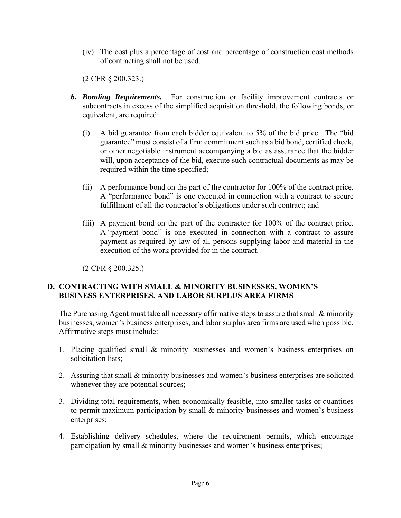(iv) The cost plus a percentage of cost and percentage of construction cost methods of contracting shall not be used.

(2 CFR § 200.323.)

- *b. Bonding Requirements.* For construction or facility improvement contracts or subcontracts in excess of the simplified acquisition threshold, the following bonds, or equivalent, are required:
	- (i) A bid guarantee from each bidder equivalent to 5% of the bid price. The "bid guarantee" must consist of a firm commitment such as a bid bond, certified check, or other negotiable instrument accompanying a bid as assurance that the bidder will, upon acceptance of the bid, execute such contractual documents as may be required within the time specified;
	- (ii) A performance bond on the part of the contractor for 100% of the contract price. A "performance bond" is one executed in connection with a contract to secure fulfillment of all the contractor's obligations under such contract; and
	- (iii) A payment bond on the part of the contractor for 100% of the contract price. A "payment bond" is one executed in connection with a contract to assure payment as required by law of all persons supplying labor and material in the execution of the work provided for in the contract.

(2 CFR § 200.325.)

## **D. CONTRACTING WITH SMALL & MINORITY BUSINESSES, WOMEN'S BUSINESS ENTERPRISES, AND LABOR SURPLUS AREA FIRMS**

The Purchasing Agent must take all necessary affirmative steps to assure that small & minority businesses, women's business enterprises, and labor surplus area firms are used when possible. Affirmative steps must include:

- 1. Placing qualified small & minority businesses and women's business enterprises on solicitation lists;
- 2. Assuring that small & minority businesses and women's business enterprises are solicited whenever they are potential sources;
- 3. Dividing total requirements, when economically feasible, into smaller tasks or quantities to permit maximum participation by small & minority businesses and women's business enterprises;
- 4. Establishing delivery schedules, where the requirement permits, which encourage participation by small & minority businesses and women's business enterprises;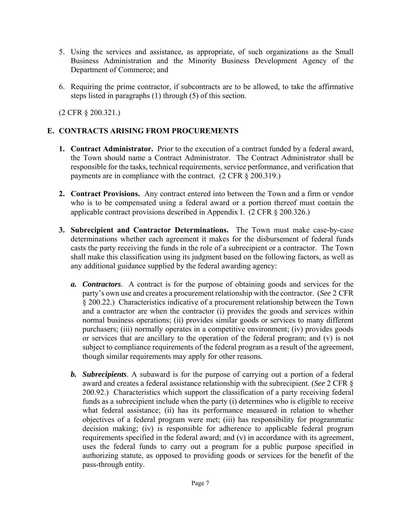- 5. Using the services and assistance, as appropriate, of such organizations as the Small Business Administration and the Minority Business Development Agency of the Department of Commerce; and
- 6. Requiring the prime contractor, if subcontracts are to be allowed, to take the affirmative steps listed in paragraphs (1) through (5) of this section.

(2 CFR § 200.321.)

## **E. CONTRACTS ARISING FROM PROCUREMENTS**

- **1. Contract Administrator.** Prior to the execution of a contract funded by a federal award, the Town should name a Contract Administrator. The Contract Administrator shall be responsible for the tasks, technical requirements, service performance, and verification that payments are in compliance with the contract. (2 CFR § 200.319.)
- **2. Contract Provisions.** Any contract entered into between the Town and a firm or vendor who is to be compensated using a federal award or a portion thereof must contain the applicable contract provisions described in Appendix I. (2 CFR § 200.326.)
- **3. Subrecipient and Contractor Determinations.** The Town must make case-by-case determinations whether each agreement it makes for the disbursement of federal funds casts the party receiving the funds in the role of a subrecipient or a contractor. The Town shall make this classification using its judgment based on the following factors, as well as any additional guidance supplied by the federal awarding agency:
	- *a. Contractors*. A contract is for the purpose of obtaining goods and services for the party's own use and creates a procurement relationship with the contractor. (*See* 2 CFR § 200.22.) Characteristics indicative of a procurement relationship between the Town and a contractor are when the contractor (i) provides the goods and services within normal business operations; (ii) provides similar goods or services to many different purchasers; (iii) normally operates in a competitive environment; (iv) provides goods or services that are ancillary to the operation of the federal program; and (v) is not subject to compliance requirements of the federal program as a result of the agreement, though similar requirements may apply for other reasons.
	- *b. Subrecipients*. A subaward is for the purpose of carrying out a portion of a federal award and creates a federal assistance relationship with the subrecipient. (*See* 2 CFR § 200.92.) Characteristics which support the classification of a party receiving federal funds as a subrecipient include when the party (i) determines who is eligible to receive what federal assistance; (ii) has its performance measured in relation to whether objectives of a federal program were met; (iii) has responsibility for programmatic decision making; (iv) is responsible for adherence to applicable federal program requirements specified in the federal award; and (v) in accordance with its agreement, uses the federal funds to carry out a program for a public purpose specified in authorizing statute, as opposed to providing goods or services for the benefit of the pass-through entity.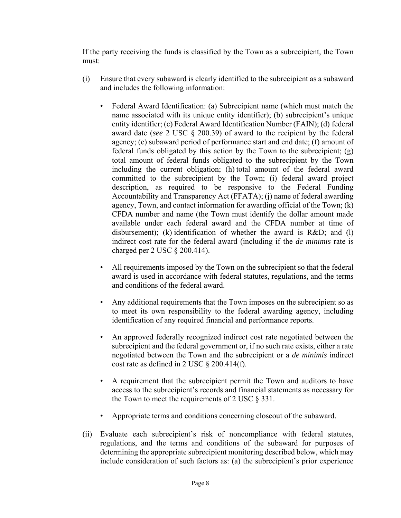If the party receiving the funds is classified by the Town as a subrecipient, the Town must:

- (i) Ensure that every subaward is clearly identified to the subrecipient as a subaward and includes the following information:
	- Federal Award Identification: (a) Subrecipient name (which must match the name associated with its unique entity identifier); (b) subrecipient's unique entity identifier; (c) Federal Award Identification Number (FAIN); (d) federal award date (*see* 2 USC § 200.39) of award to the recipient by the federal agency; (e) subaward period of performance start and end date; (f) amount of federal funds obligated by this action by the Town to the subrecipient; (g) total amount of federal funds obligated to the subrecipient by the Town including the current obligation; (h) total amount of the federal award committed to the subrecipient by the Town; (i) federal award project description, as required to be responsive to the Federal Funding Accountability and Transparency Act (FFATA); (j) name of federal awarding agency, Town, and contact information for awarding official of the Town; (k) CFDA number and name (the Town must identify the dollar amount made available under each federal award and the CFDA number at time of disbursement); (k) identification of whether the award is R&D; and (l) indirect cost rate for the federal award (including if the *de minimis* rate is charged per 2 USC § 200.414).
	- All requirements imposed by the Town on the subrecipient so that the federal award is used in accordance with federal statutes, regulations, and the terms and conditions of the federal award.
	- Any additional requirements that the Town imposes on the subrecipient so as to meet its own responsibility to the federal awarding agency, including identification of any required financial and performance reports.
	- An approved federally recognized indirect cost rate negotiated between the subrecipient and the federal government or, if no such rate exists, either a rate negotiated between the Town and the subrecipient or a *de minimis* indirect cost rate as defined in 2 USC  $\S$  200.414(f).
	- A requirement that the subrecipient permit the Town and auditors to have access to the subrecipient's records and financial statements as necessary for the Town to meet the requirements of 2 USC  $\S 331$ .
	- Appropriate terms and conditions concerning closeout of the subaward.
- (ii) Evaluate each subrecipient's risk of noncompliance with federal statutes, regulations, and the terms and conditions of the subaward for purposes of determining the appropriate subrecipient monitoring described below, which may include consideration of such factors as: (a) the subrecipient's prior experience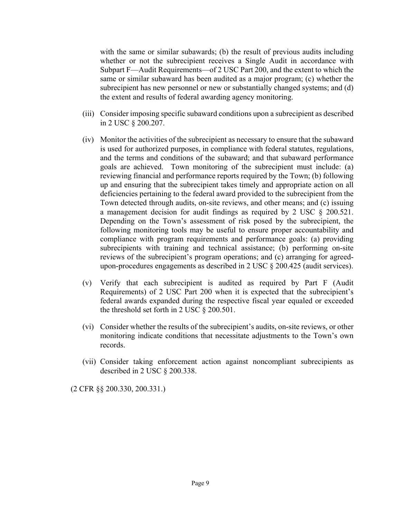with the same or similar subawards; (b) the result of previous audits including whether or not the subrecipient receives a Single Audit in accordance with Subpart F—Audit Requirements—of 2 USC Part 200, and the extent to which the same or similar subaward has been audited as a major program; (c) whether the subrecipient has new personnel or new or substantially changed systems; and (d) the extent and results of federal awarding agency monitoring.

- (iii) Consider imposing specific subaward conditions upon a subrecipient as described in 2 USC § 200.207.
- (iv) Monitor the activities of the subrecipient as necessary to ensure that the subaward is used for authorized purposes, in compliance with federal statutes, regulations, and the terms and conditions of the subaward; and that subaward performance goals are achieved. Town monitoring of the subrecipient must include: (a) reviewing financial and performance reports required by the Town; (b) following up and ensuring that the subrecipient takes timely and appropriate action on all deficiencies pertaining to the federal award provided to the subrecipient from the Town detected through audits, on-site reviews, and other means; and (c) issuing a management decision for audit findings as required by 2 USC § 200.521. Depending on the Town's assessment of risk posed by the subrecipient, the following monitoring tools may be useful to ensure proper accountability and compliance with program requirements and performance goals: (a) providing subrecipients with training and technical assistance; (b) performing on-site reviews of the subrecipient's program operations; and (c) arranging for agreedupon-procedures engagements as described in 2 USC § 200.425 (audit services).
- (v) Verify that each subrecipient is audited as required by Part F (Audit Requirements) of 2 USC Part 200 when it is expected that the subrecipient's federal awards expanded during the respective fiscal year equaled or exceeded the threshold set forth in 2 USC § 200.501.
- (vi) Consider whether the results of the subrecipient's audits, on-site reviews, or other monitoring indicate conditions that necessitate adjustments to the Town's own records.
- (vii) Consider taking enforcement action against noncompliant subrecipients as described in 2 USC § 200.338.

(2 CFR §§ 200.330, 200.331.)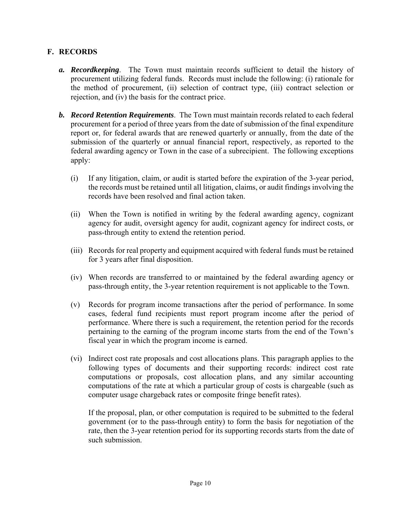## **F. RECORDS**

- *a. Recordkeeping*. The Town must maintain records sufficient to detail the history of procurement utilizing federal funds. Records must include the following: (i) rationale for the method of procurement, (ii) selection of contract type, (iii) contract selection or rejection, and (iv) the basis for the contract price.
- *b. Record Retention Requirements*. The Town must maintain records related to each federal procurement for a period of three years from the date of submission of the final expenditure report or, for federal awards that are renewed quarterly or annually, from the date of the submission of the quarterly or annual financial report, respectively, as reported to the federal awarding agency or Town in the case of a subrecipient. The following exceptions apply:
	- (i) If any litigation, claim, or audit is started before the expiration of the 3-year period, the records must be retained until all litigation, claims, or audit findings involving the records have been resolved and final action taken.
	- (ii) When the Town is notified in writing by the federal awarding agency, cognizant agency for audit, oversight agency for audit, cognizant agency for indirect costs, or pass-through entity to extend the retention period.
	- (iii) Records for real property and equipment acquired with federal funds must be retained for 3 years after final disposition.
	- (iv) When records are transferred to or maintained by the federal awarding agency or pass-through entity, the 3-year retention requirement is not applicable to the Town.
	- (v) Records for program income transactions after the period of performance. In some cases, federal fund recipients must report program income after the period of performance. Where there is such a requirement, the retention period for the records pertaining to the earning of the program income starts from the end of the Town's fiscal year in which the program income is earned.
	- (vi) Indirect cost rate proposals and cost allocations plans. This paragraph applies to the following types of documents and their supporting records: indirect cost rate computations or proposals, cost allocation plans, and any similar accounting computations of the rate at which a particular group of costs is chargeable (such as computer usage chargeback rates or composite fringe benefit rates).

 If the proposal, plan, or other computation is required to be submitted to the federal government (or to the pass-through entity) to form the basis for negotiation of the rate, then the 3-year retention period for its supporting records starts from the date of such submission.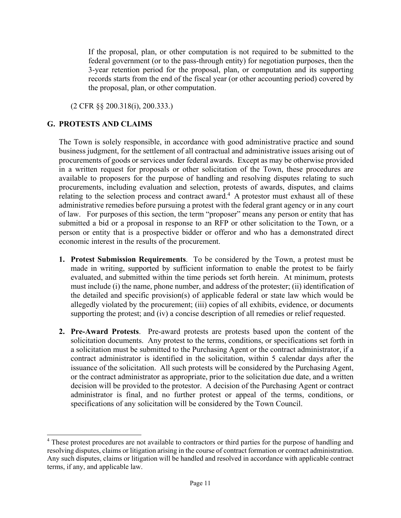If the proposal, plan, or other computation is not required to be submitted to the federal government (or to the pass-through entity) for negotiation purposes, then the 3-year retention period for the proposal, plan, or computation and its supporting records starts from the end of the fiscal year (or other accounting period) covered by the proposal, plan, or other computation.

(2 CFR §§ 200.318(i), 200.333.)

#### **G. PROTESTS AND CLAIMS**

 $\overline{a}$ 

The Town is solely responsible, in accordance with good administrative practice and sound business judgment, for the settlement of all contractual and administrative issues arising out of procurements of goods or services under federal awards. Except as may be otherwise provided in a written request for proposals or other solicitation of the Town, these procedures are available to proposers for the purpose of handling and resolving disputes relating to such procurements, including evaluation and selection, protests of awards, disputes, and claims relating to the selection process and contract award.<sup>4</sup> A protestor must exhaust all of these administrative remedies before pursuing a protest with the federal grant agency or in any court of law. For purposes of this section, the term "proposer" means any person or entity that has submitted a bid or a proposal in response to an RFP or other solicitation to the Town, or a person or entity that is a prospective bidder or offeror and who has a demonstrated direct economic interest in the results of the procurement.

- **1. Protest Submission Requirements**. To be considered by the Town, a protest must be made in writing, supported by sufficient information to enable the protest to be fairly evaluated, and submitted within the time periods set forth herein. At minimum, protests must include (i) the name, phone number, and address of the protester; (ii) identification of the detailed and specific provision(s) of applicable federal or state law which would be allegedly violated by the procurement; (iii) copies of all exhibits, evidence, or documents supporting the protest; and (iv) a concise description of all remedies or relief requested.
- **2. Pre-Award Protests**. Pre-award protests are protests based upon the content of the solicitation documents. Any protest to the terms, conditions, or specifications set forth in a solicitation must be submitted to the Purchasing Agent or the contract administrator, if a contract administrator is identified in the solicitation, within 5 calendar days after the issuance of the solicitation. All such protests will be considered by the Purchasing Agent, or the contract administrator as appropriate, prior to the solicitation due date, and a written decision will be provided to the protestor. A decision of the Purchasing Agent or contract administrator is final, and no further protest or appeal of the terms, conditions, or specifications of any solicitation will be considered by the Town Council.

<sup>&</sup>lt;sup>4</sup> These protest procedures are not available to contractors or third parties for the purpose of handling and resolving disputes, claims or litigation arising in the course of contract formation or contract administration. Any such disputes, claims or litigation will be handled and resolved in accordance with applicable contract terms, if any, and applicable law.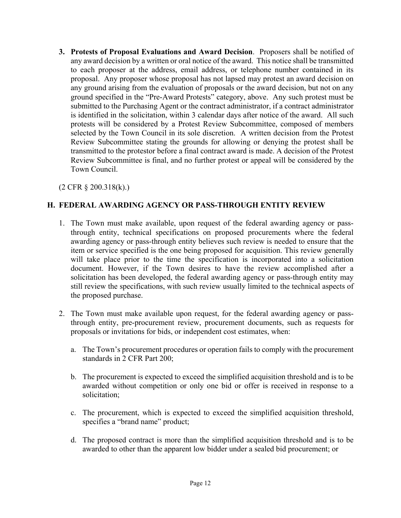**3. Protests of Proposal Evaluations and Award Decision**. Proposers shall be notified of any award decision by a written or oral notice of the award. This notice shall be transmitted to each proposer at the address, email address, or telephone number contained in its proposal. Any proposer whose proposal has not lapsed may protest an award decision on any ground arising from the evaluation of proposals or the award decision, but not on any ground specified in the "Pre-Award Protests" category, above. Any such protest must be submitted to the Purchasing Agent or the contract administrator, if a contract administrator is identified in the solicitation, within 3 calendar days after notice of the award. All such protests will be considered by a Protest Review Subcommittee, composed of members selected by the Town Council in its sole discretion. A written decision from the Protest Review Subcommittee stating the grounds for allowing or denying the protest shall be transmitted to the protestor before a final contract award is made. A decision of the Protest Review Subcommittee is final, and no further protest or appeal will be considered by the Town Council.

(2 CFR § 200.318(k).)

## **H. FEDERAL AWARDING AGENCY OR PASS-THROUGH ENTITY REVIEW**

- 1. The Town must make available, upon request of the federal awarding agency or passthrough entity, technical specifications on proposed procurements where the federal awarding agency or pass-through entity believes such review is needed to ensure that the item or service specified is the one being proposed for acquisition. This review generally will take place prior to the time the specification is incorporated into a solicitation document. However, if the Town desires to have the review accomplished after a solicitation has been developed, the federal awarding agency or pass-through entity may still review the specifications, with such review usually limited to the technical aspects of the proposed purchase.
- 2. The Town must make available upon request, for the federal awarding agency or passthrough entity, pre-procurement review, procurement documents, such as requests for proposals or invitations for bids, or independent cost estimates, when:
	- a. The Town's procurement procedures or operation fails to comply with the procurement standards in 2 CFR Part 200;
	- b. The procurement is expected to exceed the simplified acquisition threshold and is to be awarded without competition or only one bid or offer is received in response to a solicitation;
	- c. The procurement, which is expected to exceed the simplified acquisition threshold, specifies a "brand name" product;
	- d. The proposed contract is more than the simplified acquisition threshold and is to be awarded to other than the apparent low bidder under a sealed bid procurement; or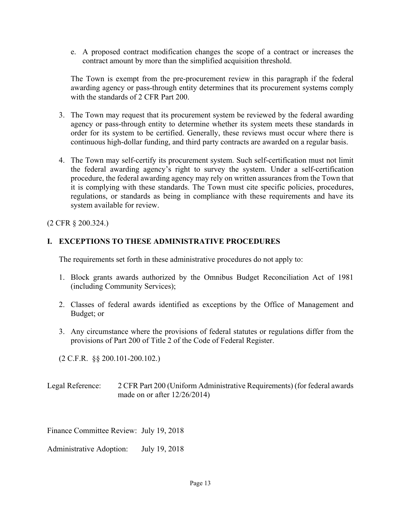e. A proposed contract modification changes the scope of a contract or increases the contract amount by more than the simplified acquisition threshold.

The Town is exempt from the pre-procurement review in this paragraph if the federal awarding agency or pass-through entity determines that its procurement systems comply with the standards of 2 CFR Part 200.

- 3. The Town may request that its procurement system be reviewed by the federal awarding agency or pass-through entity to determine whether its system meets these standards in order for its system to be certified. Generally, these reviews must occur where there is continuous high-dollar funding, and third party contracts are awarded on a regular basis.
- 4. The Town may self-certify its procurement system. Such self-certification must not limit the federal awarding agency's right to survey the system. Under a self-certification procedure, the federal awarding agency may rely on written assurances from the Town that it is complying with these standards. The Town must cite specific policies, procedures, regulations, or standards as being in compliance with these requirements and have its system available for review.

(2 CFR § 200.324.)

#### **I. EXCEPTIONS TO THESE ADMINISTRATIVE PROCEDURES**

The requirements set forth in these administrative procedures do not apply to:

- 1. Block grants awards authorized by the Omnibus Budget Reconciliation Act of 1981 (including Community Services);
- 2. Classes of federal awards identified as exceptions by the Office of Management and Budget; or
- 3. Any circumstance where the provisions of federal statutes or regulations differ from the provisions of Part 200 of Title 2 of the Code of Federal Register.

(2 C.F.R. §§ 200.101-200.102.)

Legal Reference: 2 CFR Part 200 (Uniform Administrative Requirements) (for federal awards made on or after 12/26/2014)

Finance Committee Review: July 19, 2018

Administrative Adoption: July 19, 2018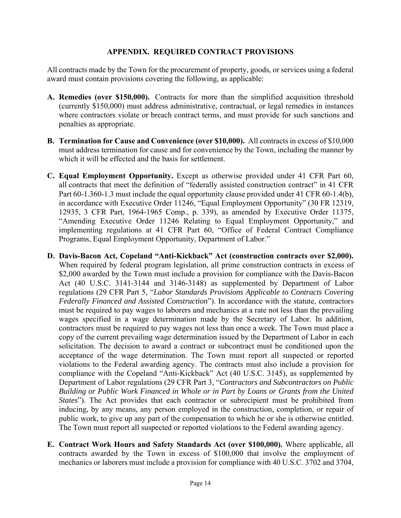#### **APPENDIX. REQUIRED CONTRACT PROVISIONS**

All contracts made by the Town for the procurement of property, goods, or services using a federal award must contain provisions covering the following, as applicable:

- **A. Remedies (over \$150,000).** Contracts for more than the simplified acquisition threshold (currently \$150,000) must address administrative, contractual, or legal remedies in instances where contractors violate or breach contract terms, and must provide for such sanctions and penalties as appropriate.
- **B. Termination for Cause and Convenience (over \$10,000).** All contracts in excess of \$10,000 must address termination for cause and for convenience by the Town, including the manner by which it will be effected and the basis for settlement.
- **C. Equal Employment Opportunity.** Except as otherwise provided under 41 CFR Part 60, all contracts that meet the definition of "federally assisted construction contract" in 41 CFR Part 60-1.360-1.3 must include the equal opportunity clause provided under 41 CFR 60-1.4(b), in accordance with Executive Order 11246, "Equal Employment Opportunity" (30 FR 12319, 12935, 3 CFR Part, 1964-1965 Comp., p. 339), as amended by Executive Order 11375, "Amending Executive Order 11246 Relating to Equal Employment Opportunity," and implementing regulations at 41 CFR Part 60, "Office of Federal Contract Compliance Programs, Equal Employment Opportunity, Department of Labor."
- **D. Davis-Bacon Act, Copeland "Anti-Kickback" Act (construction contracts over \$2,000).** When required by federal program legislation, all prime construction contracts in excess of \$2,000 awarded by the Town must include a provision for compliance with the Davis-Bacon Act (40 U.S.C. 3141-3144 and 3146-3148) as supplemented by Department of Labor regulations (29 CFR Part 5, "*Labor Standards Provisions Applicable to Contracts Covering Federally Financed and Assisted Construction*"). In accordance with the statute, contractors must be required to pay wages to laborers and mechanics at a rate not less than the prevailing wages specified in a wage determination made by the Secretary of Labor. In addition, contractors must be required to pay wages not less than once a week. The Town must place a copy of the current prevailing wage determination issued by the Department of Labor in each solicitation. The decision to award a contract or subcontract must be conditioned upon the acceptance of the wage determination. The Town must report all suspected or reported violations to the Federal awarding agency. The contracts must also include a provision for compliance with the Copeland "Anti-Kickback" Act (40 U.S.C. 3145), as supplemented by Department of Labor regulations (29 CFR Part 3, "*Contractors and Subcontractors on Public Building or Public Work Financed in Whole or in Part by Loans or Grants from the United States*"). The Act provides that each contractor or subrecipient must be prohibited from inducing, by any means, any person employed in the construction, completion, or repair of public work, to give up any part of the compensation to which he or she is otherwise entitled. The Town must report all suspected or reported violations to the Federal awarding agency.
- **E. Contract Work Hours and Safety Standards Act (over \$100,000).** Where applicable, all contracts awarded by the Town in excess of \$100,000 that involve the employment of mechanics or laborers must include a provision for compliance with 40 U.S.C. 3702 and 3704,